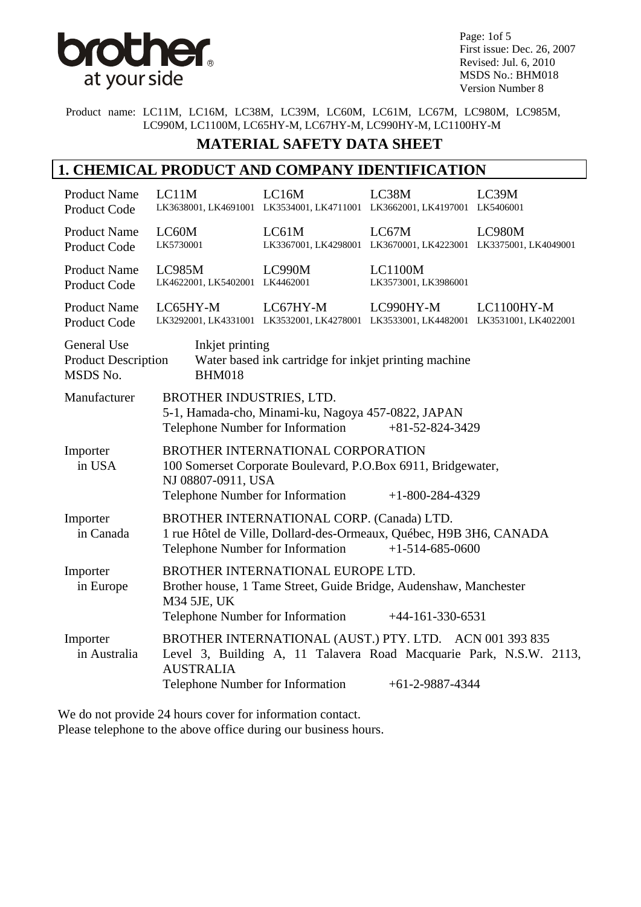

Page: 1of 5 First issue: Dec. 26, 2007 Revised: Jul. 6, 2010 MSDS No.: BHM018 Version Number 8

Product name: LC11M, LC16M, LC38M, LC39M, LC60M, LC61M, LC67M, LC980M, LC985M, LC990M, LC1100M, LC65HY-M, LC67HY-M, LC990HY-M, LC1100HY-M

#### **MATERIAL SAFETY DATA SHEET**

### **1. CHEMICAL PRODUCT AND COMPANY IDENTIFICATION**

| LC11M                                                                                                                                                                                             | LC16M    | LC38M                                                                                                                                                                                                      | LC39M                                                                                                                                                                                                                                                                                                                                                                                                                                                                                                                                                    |
|---------------------------------------------------------------------------------------------------------------------------------------------------------------------------------------------------|----------|------------------------------------------------------------------------------------------------------------------------------------------------------------------------------------------------------------|----------------------------------------------------------------------------------------------------------------------------------------------------------------------------------------------------------------------------------------------------------------------------------------------------------------------------------------------------------------------------------------------------------------------------------------------------------------------------------------------------------------------------------------------------------|
| LC60M<br>LK5730001                                                                                                                                                                                | LC61M    | LC67M                                                                                                                                                                                                      | LC980M                                                                                                                                                                                                                                                                                                                                                                                                                                                                                                                                                   |
| <b>LC985M</b>                                                                                                                                                                                     | LC990M   | <b>LC1100M</b><br>LK3573001, LK3986001                                                                                                                                                                     |                                                                                                                                                                                                                                                                                                                                                                                                                                                                                                                                                          |
| LC65HY-M                                                                                                                                                                                          | LC67HY-M | LC990HY-M                                                                                                                                                                                                  | LC1100HY-M                                                                                                                                                                                                                                                                                                                                                                                                                                                                                                                                               |
| General Use<br>Inkjet printing<br><b>Product Description</b><br>Water based ink cartridge for inkjet printing machine<br>MSDS No.<br><b>BHM018</b>                                                |          |                                                                                                                                                                                                            |                                                                                                                                                                                                                                                                                                                                                                                                                                                                                                                                                          |
|                                                                                                                                                                                                   |          | $+81 - 52 - 824 - 3429$                                                                                                                                                                                    |                                                                                                                                                                                                                                                                                                                                                                                                                                                                                                                                                          |
| BROTHER INTERNATIONAL CORPORATION<br>100 Somerset Corporate Boulevard, P.O.Box 6911, Bridgewater,<br>NJ 08807-0911, USA<br>$+1 - 800 - 284 - 4329$                                                |          |                                                                                                                                                                                                            |                                                                                                                                                                                                                                                                                                                                                                                                                                                                                                                                                          |
| BROTHER INTERNATIONAL CORP. (Canada) LTD.<br>Importer<br>1 rue Hôtel de Ville, Dollard-des-Ormeaux, Québec, H9B 3H6, CANADA<br>in Canada<br>Telephone Number for Information<br>$+1-514-685-0600$ |          |                                                                                                                                                                                                            |                                                                                                                                                                                                                                                                                                                                                                                                                                                                                                                                                          |
| M34 5JE, UK                                                                                                                                                                                       |          |                                                                                                                                                                                                            |                                                                                                                                                                                                                                                                                                                                                                                                                                                                                                                                                          |
| <b>AUSTRALIA</b>                                                                                                                                                                                  |          | $+61-2-9887-4344$                                                                                                                                                                                          |                                                                                                                                                                                                                                                                                                                                                                                                                                                                                                                                                          |
|                                                                                                                                                                                                   |          | LK4622001, LK5402001 LK4462001<br>BROTHER INDUSTRIES, LTD.<br>Telephone Number for Information<br>Telephone Number for Information<br>Telephone Number for Information<br>Telephone Number for Information | LK3638001, LK4691001 LK3534001, LK4711001 LK3662001, LK4197001 LK5406001<br>LK3367001, LK4298001 LK3670001, LK4223001 LK3375001, LK4049001<br>LK3292001, LK4331001 LK3532001, LK4278001 LK3533001, LK4482001 LK3531001, LK4022001<br>5-1, Hamada-cho, Minami-ku, Nagoya 457-0822, JAPAN<br>BROTHER INTERNATIONAL EUROPE LTD.<br>Brother house, 1 Tame Street, Guide Bridge, Audenshaw, Manchester<br>$+44-161-330-6531$<br>BROTHER INTERNATIONAL (AUST.) PTY. LTD. ACN 001 393 835<br>Level 3, Building A, 11 Talavera Road Macquarie Park, N.S.W. 2113, |

We do not provide 24 hours cover for information contact. Please telephone to the above office during our business hours.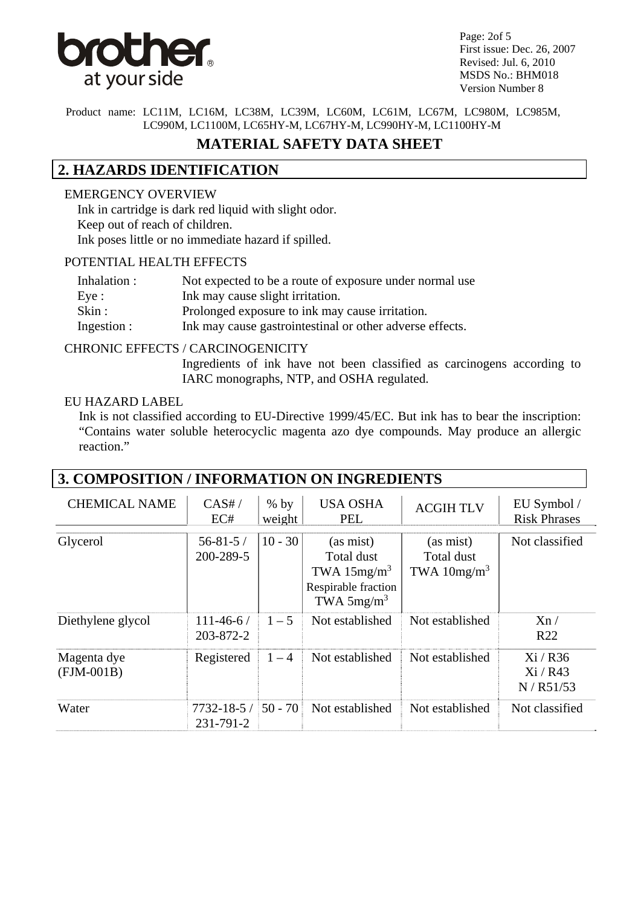

Page: 2of 5 First issue: Dec. 26, 2007 Revised: Jul. 6, 2010 MSDS No.: BHM018 Version Number 8

Product name: LC11M, LC16M, LC38M, LC39M, LC60M, LC61M, LC67M, LC980M, LC985M, LC990M, LC1100M, LC65HY-M, LC67HY-M, LC990HY-M, LC1100HY-M

## **MATERIAL SAFETY DATA SHEET**

## **2. HAZARDS IDENTIFICATION**

#### EMERGENCY OVERVIEW

 Ink in cartridge is dark red liquid with slight odor. Keep out of reach of children. Ink poses little or no immediate hazard if spilled.

#### POTENTIAL HEALTH EFFECTS

| Inhalation :   | Not expected to be a route of exposure under normal use  |
|----------------|----------------------------------------------------------|
| Eye:           | Ink may cause slight irritation.                         |
| $\text{skin}:$ | Prolonged exposure to ink may cause irritation.          |
| Ingestion :    | Ink may cause gastrointestinal or other adverse effects. |

#### CHRONIC EFFECTS / CARCINOGENICITY

Ingredients of ink have not been classified as carcinogens according to IARC monographs, NTP, and OSHA regulated.

#### EU HAZARD LABEL

 Ink is not classified according to EU-Directive 1999/45/EC. But ink has to bear the inscription: "Contains water soluble heterocyclic magenta azo dye compounds. May produce an allergic reaction."

| 3. COMPOSITION / INFORMATION ON INGREDIENTS |                               |                  |                                                                                  |                                          |                                    |
|---------------------------------------------|-------------------------------|------------------|----------------------------------------------------------------------------------|------------------------------------------|------------------------------------|
| <b>CHEMICAL NAME</b>                        | CAS#/<br>EC#                  | $%$ by<br>weight | <b>USA OSHA</b><br><b>PEL</b>                                                    | <b>ACGIH TLV</b>                         | EU Symbol /<br><b>Risk Phrases</b> |
| Glycerol                                    | $56 - 81 - 5/$<br>200-289-5   | $10 - 30$        | (as mist)<br>Total dust<br>TWA $15mg/m3$<br>Respirable fraction<br>TWA $5mg/m^3$ | (as mist)<br>Total dust<br>TWA $10mg/m3$ | Not classified                     |
| Diethylene glycol                           | $111 - 46 - 6/$<br>203-872-2  | $1 - 5$          | Not established                                                                  | Not established                          | Xn/<br>R <sub>22</sub>             |
| Magenta dye<br>$(FJM-001B)$                 | Registered                    | $1 - 4$          | Not established                                                                  | Not established                          | $Xi/$ R36<br>Xi / R43<br>N/R51/53  |
| Water                                       | $7732 - 18 - 5/$<br>231-791-2 | $50 - 70$        | Not established                                                                  | Not established                          | Not classified                     |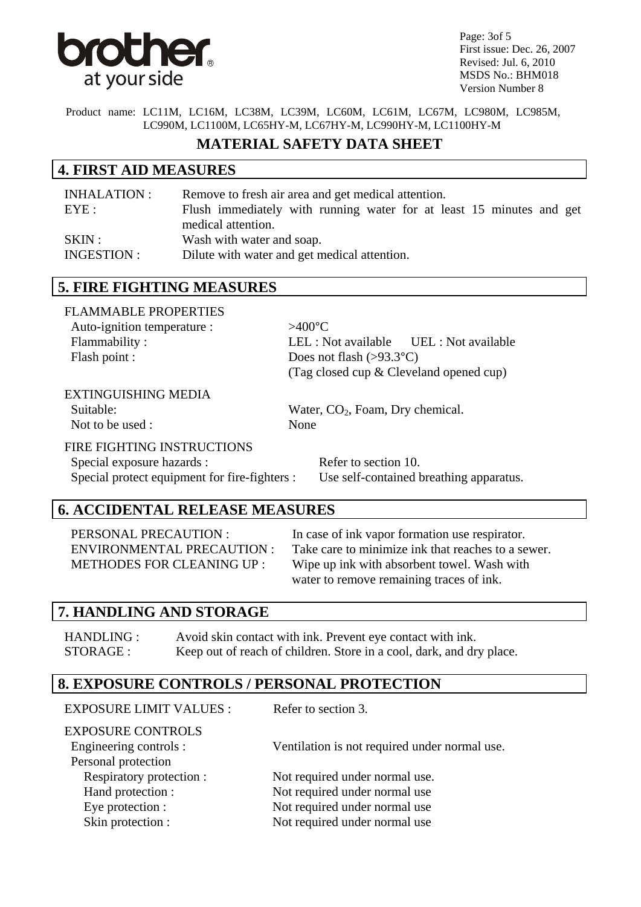

Page: 3of 5 First issue: Dec. 26, 2007 Revised: Jul. 6, 2010 MSDS No.: BHM018 Version Number 8

Product name: LC11M, LC16M, LC38M, LC39M, LC60M, LC61M, LC67M, LC980M, LC985M, LC990M, LC1100M, LC65HY-M, LC67HY-M, LC990HY-M, LC1100HY-M

### **MATERIAL SAFETY DATA SHEET**

### **4. FIRST AID MEASURES**

| INHALATION : | Remove to fresh air area and get medical attention.                  |
|--------------|----------------------------------------------------------------------|
| EYE:         | Flush immediately with running water for at least 15 minutes and get |
|              | medical attention.                                                   |
| SKIN:        | Wash with water and soap.                                            |
| INGESTION :  | Dilute with water and get medical attention.                         |

### **5. FIRE FIGHTING MEASURES**

| <b>FLAMMABLE PROPERTIES</b> |                                                |  |
|-----------------------------|------------------------------------------------|--|
| Auto-ignition temperature : | $>400^{\circ}$ C                               |  |
| Flammability:               | $LEL: Not available \t\t \tUEL: Not available$ |  |
| Flash point :               | Does not flash $(>93.3^{\circ}C)$              |  |
|                             | (Tag closed cup & Cleveland opened cup)        |  |

#### EXTINGUISHING MEDIA

Not to be used : None

Suitable: Water, CO<sub>2</sub>, Foam, Dry chemical.

#### FIRE FIGHTING INSTRUCTIONS

Special exposure hazards : Refer to section 10. Special protect equipment for fire-fighters : Use self-contained breathing apparatus.

## **6. ACCIDENTAL RELEASE MEASURES**

PERSONAL PRECAUTION : In case of ink vapor formation use respirator. ENVIRONMENTAL PRECAUTION : Take care to minimize ink that reaches to a sewer. METHODES FOR CLEANING UP : Wipe up ink with absorbent towel. Wash with water to remove remaining traces of ink.

#### **7. HANDLING AND STORAGE**

HANDLING : Avoid skin contact with ink. Prevent eye contact with ink. STORAGE : Keep out of reach of children. Store in a cool, dark, and dry place.

### **8. EXPOSURE CONTROLS / PERSONAL PROTECTION**

| <b>EXPOSURE LIMIT VALUES:</b>                                             | Refer to section 3.                           |
|---------------------------------------------------------------------------|-----------------------------------------------|
| <b>EXPOSURE CONTROLS</b><br>Engineering controls :<br>Personal protection | Ventilation is not required under normal use. |
| Respiratory protection :                                                  | Not required under normal use.                |
| Hand protection :                                                         | Not required under normal use                 |
| Eye protection :                                                          | Not required under normal use                 |
| Skin protection :                                                         | Not required under normal use                 |
|                                                                           |                                               |
|                                                                           |                                               |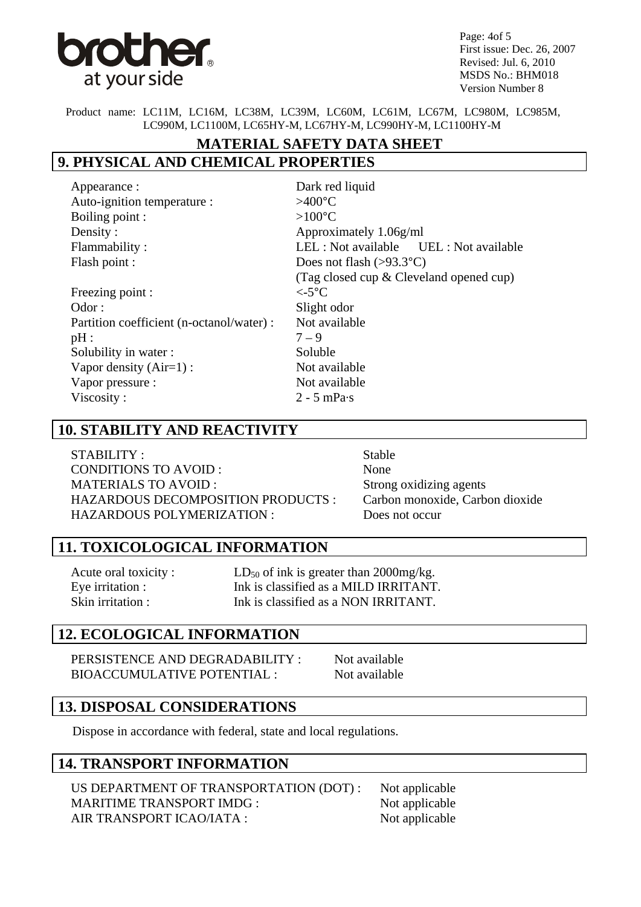

Page: 4of 5 First issue: Dec. 26, 2007 Revised: Jul. 6, 2010 MSDS No.: BHM018 Version Number 8

Product name: LC11M, LC16M, LC38M, LC39M, LC60M, LC61M, LC67M, LC980M, LC985M, LC990M, LC1100M, LC65HY-M, LC67HY-M, LC990HY-M, LC1100HY-M

# **MATERIAL SAFETY DATA SHEET**

# **9. PHYSICAL AND CHEMICAL PROPERTIES**

| Dark red liquid                           |
|-------------------------------------------|
| $>400^{\circ}$ C                          |
| $>100^{\circ}$ C                          |
| Approximately 1.06g/ml                    |
| LEL : Not available UEL : Not available   |
| Does not flash $(>93.3^{\circ}C)$         |
| (Tag closed cup $&$ Cleveland opened cup) |
| $\epsilon$ -5°C                           |
| Slight odor                               |
| Not available                             |
| $7 - 9$                                   |
| Soluble                                   |
| Not available                             |
| Not available                             |
| $2 - 5$ mPa $\cdot$ s                     |
|                                           |

## **10. STABILITY AND REACTIVITY**

STABILITY : Stable CONDITIONS TO AVOID : None MATERIALS TO AVOID : Strong oxidizing agents HAZARDOUS DECOMPOSITION PRODUCTS : Carbon monoxide, Carbon dioxide HAZARDOUS POLYMERIZATION : Does not occur

## **11. TOXICOLOGICAL INFORMATION**

Acute oral toxicity :  $LD_{50}$  of ink is greater than 2000mg/kg. Eve irritation : Ink is classified as a MILD IRRITANT. Skin irritation : The is classified as a NON IRRITANT.

### **12. ECOLOGICAL INFORMATION**

PERSISTENCE AND DEGRADABILITY : Not available BIOACCUMULATIVE POTENTIAL : Not available

## **13. DISPOSAL CONSIDERATIONS**

Dispose in accordance with federal, state and local regulations.

### **14. TRANSPORT INFORMATION**

US DEPARTMENT OF TRANSPORTATION (DOT) : Not applicable MARITIME TRANSPORT IMDG : Not applicable AIR TRANSPORT ICAO/IATA : Not applicable